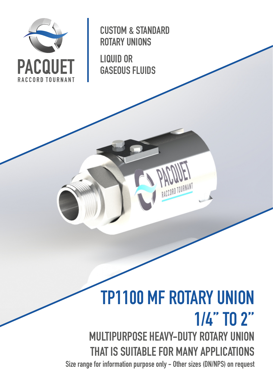

CUSTOM & STANDARD ROTARY UNIONS

LIQUID OR GASEOUS FLUIDS

# TP1100 MF ROTARY UNION 1/4'' TO 2'' MULTIPURPOSE HEAVY-DUTY ROTARY UNION THAT IS SUITABLE FOR MANY APPLICATIONS

Size range for information purpose only - Other sizes (DN/NPS) on request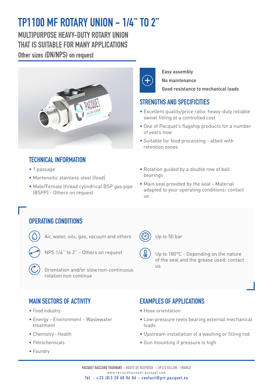## TP1100 MF ROTARY UNION - 1/4'' TO 2''

MUITIPURPOSE HEAVY-DUTY ROTARY UNION THAT IS SUITABLE FOR MANY APPI ICATIONS Other sizes (DN/NPS) on request



### TECHNICAL INFORMATION

- 1 passage
- Martensitic stainless steel (food)
- Male/Female thread cylindrical BSP gas pipe (BSPP) - Others on request



#### **Easy assembly**

**No maintenance**

**Good resistance to mechanical loads**

#### STRENGTHS AND SPECIFICITIES

- Excellent quality/price ratio: heavy-duty reliable swivel fitting at a controlled cost
- One of Pacquet's flagship products for a number of years now
- Suitable for food processing albeit with retention zones
- Rotation guided by a double row of ball bearings
- Main seal provided by the seal Material adapted to your operating conditions: contact us

#### OPERATING CONDITIONS

- Air, water, oils, gas, vacuum and others
- NPS 1/4'' to 2'' Others on request
	-
	- Orientation and/or slow non-continuous rotation non continue

Up to 50 bar

- - Up to 180°C Depending on the nature of the seal and the grease used: contact us

#### MAIN SECTORS OF ACTIVITY

- Food industry
- Energy Environment Wastewater treatment
- Chemistry Health
- Petrochemicals
- Foundry

#### **EXAMPLES OF APPLICATIONS**

- Hose orientation
- Low-pressure reels bearing external mechanical loads
- Upstream installation of a washing or filling rod
- Gun mounting if pressure is high